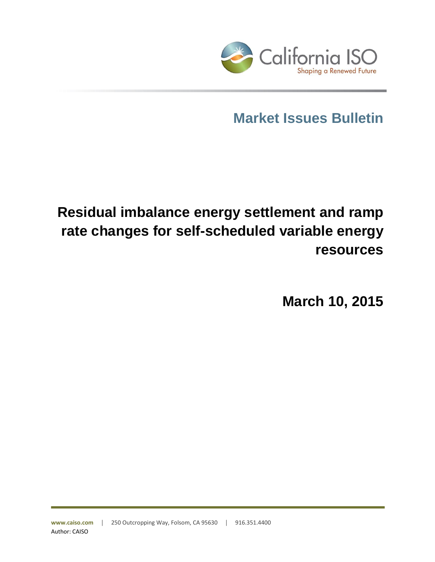

# **Market Issues Bulletin**

# **Residual imbalance energy settlement and ramp rate changes for self-scheduled variable energy resources**

**March 10, 2015**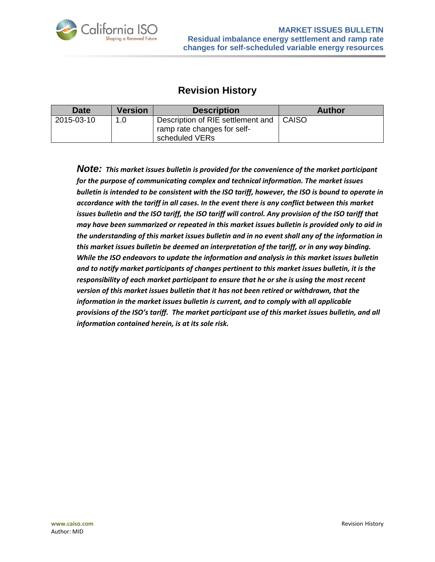

# **Revision History**

| <b>Date</b> | <b>Version</b> | <b>Description</b>                                                                 | <b>Author</b> |
|-------------|----------------|------------------------------------------------------------------------------------|---------------|
| 2015-03-10  | 1.0            | Description of RIE settlement and<br>ramp rate changes for self-<br>scheduled VERs | <b>CAISO</b>  |

*Note: This market issues bulletin is provided for the convenience of the market participant for the purpose of communicating complex and technical information. The market issues bulletin is intended to be consistent with the ISO tariff, however, the ISO is bound to operate in accordance with the tariff in all cases. In the event there is any conflict between this market*  issues bulletin and the ISO tariff, the ISO tariff will control. Any provision of the ISO tariff that *may have been summarized or repeated in this market issues bulletin is provided only to aid in the understanding of this market issues bulletin and in no event shall any of the information in this market issues bulletin be deemed an interpretation of the tariff, or in any way binding. While the ISO endeavors to update the information and analysis in this market issues bulletin and to notify market participants of changes pertinent to this market issues bulletin, it is the responsibility of each market participant to ensure that he or she is using the most recent version of this market issues bulletin that it has not been retired or withdrawn, that the information in the market issues bulletin is current, and to comply with all applicable provisions of the ISO's tariff. The market participant use of this market issues bulletin, and all information contained herein, is at its sole risk.*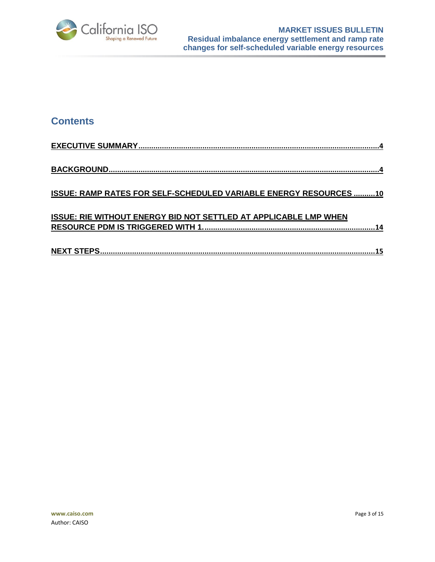

## **Contents**

| ISSUE: RAMP RATES FOR SELF-SCHEDULED VARIABLE ENERGY RESOURCES 10       |
|-------------------------------------------------------------------------|
|                                                                         |
| <b>ISSUE: RIE WITHOUT ENERGY BID NOT SETTLED AT APPLICABLE LMP WHEN</b> |
|                                                                         |
|                                                                         |
|                                                                         |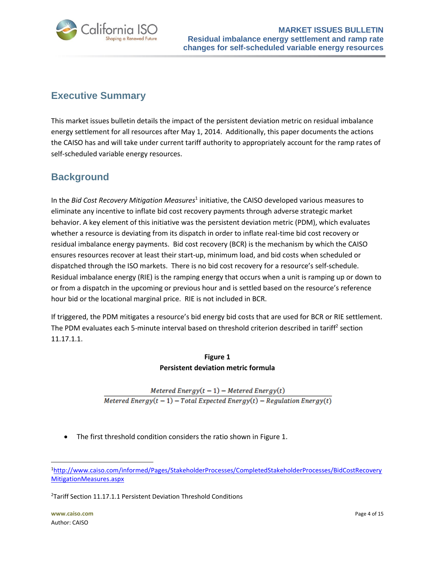

# <span id="page-3-0"></span>**Executive Summary**

This market issues bulletin details the impact of the persistent deviation metric on residual imbalance energy settlement for all resources after May 1, 2014. Additionally, this paper documents the actions the CAISO has and will take under current tariff authority to appropriately account for the ramp rates of self-scheduled variable energy resources.

# <span id="page-3-1"></span>**Background**

In the Bid Cost Recovery Mitigation Measures<sup>1</sup> initiative, the CAISO developed various measures to eliminate any incentive to inflate bid cost recovery payments through adverse strategic market behavior. A key element of this initiative was the persistent deviation metric (PDM), which evaluates whether a resource is deviating from its dispatch in order to inflate real-time bid cost recovery or residual imbalance energy payments. Bid cost recovery (BCR) is the mechanism by which the CAISO ensures resources recover at least their start-up, minimum load, and bid costs when scheduled or dispatched through the ISO markets. There is no bid cost recovery for a resource's self-schedule. Residual imbalance energy (RIE) is the ramping energy that occurs when a unit is ramping up or down to or from a dispatch in the upcoming or previous hour and is settled based on the resource's reference hour bid or the locational marginal price. RIE is not included in BCR.

If triggered, the PDM mitigates a resource's bid energy bid costs that are used for BCR or RIE settlement. The PDM evaluates each 5-minute interval based on threshold criterion described in tariff<sup>2</sup> section 11.17.1.1.

## **Figure 1 Persistent deviation metric formula**

Metered Energy $(t-1)$  – Metered Energy $(t)$ Metered Energy $(t-1)$  – Total Expected Energy $(t)$  – Regulation Energy $(t)$ 

The first threshold condition considers the ratio shown in Figure 1.

l

<sup>1</sup>[http://www.caiso.com/informed/Pages/StakeholderProcesses/CompletedStakeholderProcesses/BidCostRecovery](http://www.caiso.com/informed/Pages/StakeholderProcesses/CompletedStakeholderProcesses/BidCostRecoveryMitigationMeasures.aspx) [MitigationMeasures.aspx](http://www.caiso.com/informed/Pages/StakeholderProcesses/CompletedStakeholderProcesses/BidCostRecoveryMitigationMeasures.aspx)

<sup>&</sup>lt;sup>2</sup>Tariff Section 11.17.1.1 Persistent Deviation Threshold Conditions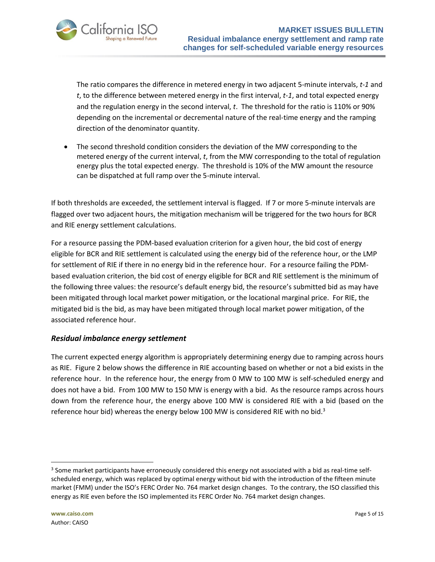

The ratio compares the difference in metered energy in two adjacent 5-minute intervals, *t-1* and *t*, to the difference between metered energy in the first interval, *t-1*, and total expected energy and the regulation energy in the second interval, *t*. The threshold for the ratio is 110% or 90% depending on the incremental or decremental nature of the real-time energy and the ramping direction of the denominator quantity.

• The second threshold condition considers the deviation of the MW corresponding to the metered energy of the current interval, *t*, from the MW corresponding to the total of regulation energy plus the total expected energy. The threshold is 10% of the MW amount the resource can be dispatched at full ramp over the 5-minute interval.

If both thresholds are exceeded, the settlement interval is flagged. If 7 or more 5-minute intervals are flagged over two adjacent hours, the mitigation mechanism will be triggered for the two hours for BCR and RIE energy settlement calculations.

For a resource passing the PDM-based evaluation criterion for a given hour, the bid cost of energy eligible for BCR and RIE settlement is calculated using the energy bid of the reference hour, or the LMP for settlement of RIE if there in no energy bid in the reference hour. For a resource failing the PDMbased evaluation criterion, the bid cost of energy eligible for BCR and RIE settlement is the minimum of the following three values: the resource's default energy bid, the resource's submitted bid as may have been mitigated through local market power mitigation, or the locational marginal price. For RIE, the mitigated bid is the bid, as may have been mitigated through local market power mitigation, of the associated reference hour.

## *Residual imbalance energy settlement*

The current expected energy algorithm is appropriately determining energy due to ramping across hours as RIE. Figure 2 below shows the difference in RIE accounting based on whether or not a bid exists in the reference hour. In the reference hour, the energy from 0 MW to 100 MW is self-scheduled energy and does not have a bid. From 100 MW to 150 MW is energy with a bid. As the resource ramps across hours down from the reference hour, the energy above 100 MW is considered RIE with a bid (based on the reference hour bid) whereas the energy below 100 MW is considered RIE with no bid.<sup>3</sup>

l

 $3$  Some market participants have erroneously considered this energy not associated with a bid as real-time selfscheduled energy, which was replaced by optimal energy without bid with the introduction of the fifteen minute market (FMM) under the ISO's FERC Order No. 764 market design changes. To the contrary, the ISO classified this energy as RIE even before the ISO implemented its FERC Order No. 764 market design changes.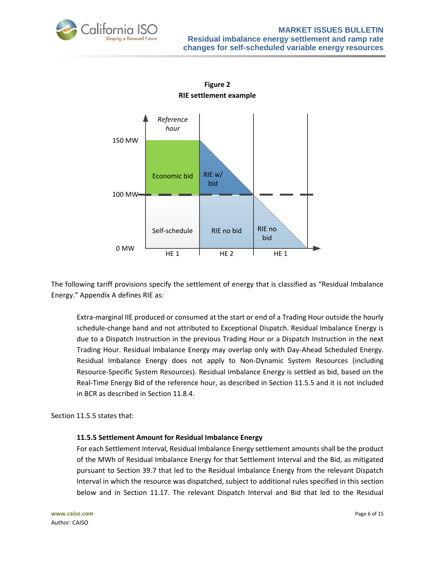





The following tariff provisions specify the settlement of energy that is classified as "Residual Imbalance Energy." Appendix A defines RIE as:

Extra-marginal IIE produced or consumed at the start or end of a Trading Hour outside the hourly schedule-change band and not attributed to Exceptional Dispatch. Residual Imbalance Energy is due to a Dispatch Instruction in the previous Trading Hour or a Dispatch Instruction in the next Trading Hour. Residual Imbalance Energy may overlap only with Day-Ahead Scheduled Energy. Residual Imbalance Energy does not apply to Non-Dynamic System Resources (including Resource-Specific System Resources). Residual Imbalance Energy is settled as bid, based on the Real-Time Energy Bid of the reference hour, as described in Section 11.5.5 and it is not included in BCR as described in Section 11.8.4.

Section 11.5.5 states that:

## **11.5.5 Settlement Amount for Residual Imbalance Energy**

For each Settlement Interval, Residual Imbalance Energy settlement amounts shall be the product of the MWh of Residual Imbalance Energy for that Settlement Interval and the Bid, as mitigated pursuant to Section 39.7 that led to the Residual Imbalance Energy from the relevant Dispatch Interval in which the resource was dispatched, subject to additional rules specified in this section below and in Section 11.17. The relevant Dispatch Interval and Bid that led to the Residual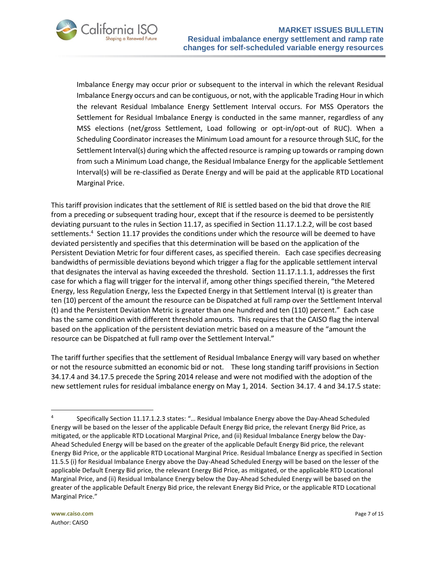

Imbalance Energy may occur prior or subsequent to the interval in which the relevant Residual Imbalance Energy occurs and can be contiguous, or not, with the applicable Trading Hour in which the relevant Residual Imbalance Energy Settlement Interval occurs. For MSS Operators the Settlement for Residual Imbalance Energy is conducted in the same manner, regardless of any MSS elections (net/gross Settlement, Load following or opt-in/opt-out of RUC). When a Scheduling Coordinator increases the Minimum Load amount for a resource through SLIC, for the Settlement Interval(s) during which the affected resource is ramping up towards or ramping down from such a Minimum Load change, the Residual Imbalance Energy for the applicable Settlement Interval(s) will be re-classified as Derate Energy and will be paid at the applicable RTD Locational Marginal Price.

This tariff provision indicates that the settlement of RIE is settled based on the bid that drove the RIE from a preceding or subsequent trading hour, except that if the resource is deemed to be persistently deviating pursuant to the rules in Section 11.17, as specified in Section 11.17.1.2.2, will be cost based settlements.<sup>4</sup> Section 11.17 provides the conditions under which the resource will be deemed to have deviated persistently and specifies that this determination will be based on the application of the Persistent Deviation Metric for four different cases, as specified therein. Each case specifies decreasing bandwidths of permissible deviations beyond which trigger a flag for the applicable settlement interval that designates the interval as having exceeded the threshold. Section 11.17.1.1.1, addresses the first case for which a flag will trigger for the interval if, among other things specified therein, "the Metered Energy, less Regulation Energy, less the Expected Energy in that Settlement Interval (t) is greater than ten (10) percent of the amount the resource can be Dispatched at full ramp over the Settlement Interval (t) and the Persistent Deviation Metric is greater than one hundred and ten (110) percent." Each case has the same condition with different threshold amounts. This requires that the CAISO flag the interval based on the application of the persistent deviation metric based on a measure of the "amount the resource can be Dispatched at full ramp over the Settlement Interval."

The tariff further specifies that the settlement of Residual Imbalance Energy will vary based on whether or not the resource submitted an economic bid or not. These long standing tariff provisions in Section 34.17.4 and 34.17.5 precede the Spring 2014 release and were not modified with the adoption of the new settlement rules for residual imbalance energy on May 1, 2014. Section 34.17. 4 and 34.17.5 state:

 $\overline{a}$ 

<sup>4</sup> Specifically Section 11.17.1.2.3 states: "… Residual Imbalance Energy above the Day-Ahead Scheduled Energy will be based on the lesser of the applicable Default Energy Bid price, the relevant Energy Bid Price, as mitigated, or the applicable RTD Locational Marginal Price, and (ii) Residual Imbalance Energy below the Day-Ahead Scheduled Energy will be based on the greater of the applicable Default Energy Bid price, the relevant Energy Bid Price, or the applicable RTD Locational Marginal Price. Residual Imbalance Energy as specified in Section 11.5.5 (i) for Residual Imbalance Energy above the Day-Ahead Scheduled Energy will be based on the lesser of the applicable Default Energy Bid price, the relevant Energy Bid Price, as mitigated, or the applicable RTD Locational Marginal Price, and (ii) Residual Imbalance Energy below the Day-Ahead Scheduled Energy will be based on the greater of the applicable Default Energy Bid price, the relevant Energy Bid Price, or the applicable RTD Locational Marginal Price."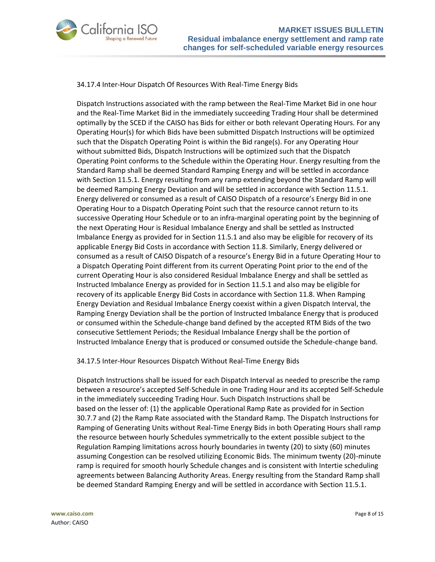



#### 34.17.4 Inter-Hour Dispatch Of Resources With Real-Time Energy Bids

Dispatch Instructions associated with the ramp between the Real-Time Market Bid in one hour and the Real-Time Market Bid in the immediately succeeding Trading Hour shall be determined optimally by the SCED if the CAISO has Bids for either or both relevant Operating Hours. For any Operating Hour(s) for which Bids have been submitted Dispatch Instructions will be optimized such that the Dispatch Operating Point is within the Bid range(s). For any Operating Hour without submitted Bids, Dispatch Instructions will be optimized such that the Dispatch Operating Point conforms to the Schedule within the Operating Hour. Energy resulting from the Standard Ramp shall be deemed Standard Ramping Energy and will be settled in accordance with Section 11.5.1. Energy resulting from any ramp extending beyond the Standard Ramp will be deemed Ramping Energy Deviation and will be settled in accordance with Section 11.5.1. Energy delivered or consumed as a result of CAISO Dispatch of a resource's Energy Bid in one Operating Hour to a Dispatch Operating Point such that the resource cannot return to its successive Operating Hour Schedule or to an infra-marginal operating point by the beginning of the next Operating Hour is Residual Imbalance Energy and shall be settled as Instructed Imbalance Energy as provided for in Section 11.5.1 and also may be eligible for recovery of its applicable Energy Bid Costs in accordance with Section 11.8. Similarly, Energy delivered or consumed as a result of CAISO Dispatch of a resource's Energy Bid in a future Operating Hour to a Dispatch Operating Point different from its current Operating Point prior to the end of the current Operating Hour is also considered Residual Imbalance Energy and shall be settled as Instructed Imbalance Energy as provided for in Section 11.5.1 and also may be eligible for recovery of its applicable Energy Bid Costs in accordance with Section 11.8. When Ramping Energy Deviation and Residual Imbalance Energy coexist within a given Dispatch Interval, the Ramping Energy Deviation shall be the portion of Instructed Imbalance Energy that is produced or consumed within the Schedule-change band defined by the accepted RTM Bids of the two consecutive Settlement Periods; the Residual Imbalance Energy shall be the portion of Instructed Imbalance Energy that is produced or consumed outside the Schedule-change band.

34.17.5 Inter-Hour Resources Dispatch Without Real-Time Energy Bids

Dispatch Instructions shall be issued for each Dispatch Interval as needed to prescribe the ramp between a resource's accepted Self-Schedule in one Trading Hour and its accepted Self-Schedule in the immediately succeeding Trading Hour. Such Dispatch Instructions shall be based on the lesser of: (1) the applicable Operational Ramp Rate as provided for in Section 30.7.7 and (2) the Ramp Rate associated with the Standard Ramp. The Dispatch Instructions for Ramping of Generating Units without Real-Time Energy Bids in both Operating Hours shall ramp the resource between hourly Schedules symmetrically to the extent possible subject to the Regulation Ramping limitations across hourly boundaries in twenty (20) to sixty (60) minutes assuming Congestion can be resolved utilizing Economic Bids. The minimum twenty (20)-minute ramp is required for smooth hourly Schedule changes and is consistent with Intertie scheduling agreements between Balancing Authority Areas. Energy resulting from the Standard Ramp shall be deemed Standard Ramping Energy and will be settled in accordance with Section 11.5.1.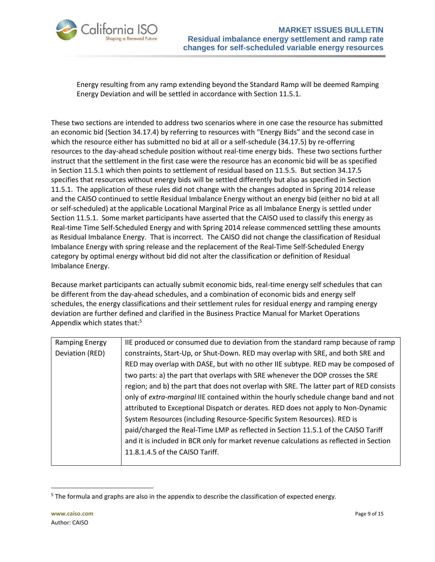

Energy resulting from any ramp extending beyond the Standard Ramp will be deemed Ramping Energy Deviation and will be settled in accordance with Section 11.5.1.

These two sections are intended to address two scenarios where in one case the resource has submitted an economic bid (Section 34.17.4) by referring to resources with "Energy Bids" and the second case in which the resource either has submitted no bid at all or a self-schedule (34.17.5) by re-offerring resources to the day-ahead schedule position without real-time energy bids. These two sections further instruct that the settlement in the first case were the resource has an economic bid will be as specified in Section 11.5.1 which then points to settlement of residual based on 11.5.5. But section 34.17.5 specifies that resources without energy bids will be settled differently but also as specified in Section 11.5.1. The application of these rules did not change with the changes adopted in Spring 2014 release and the CAISO continued to settle Residual Imbalance Energy without an energy bid (either no bid at all or self-scheduled) at the applicable Locational Marginal Price as all Imbalance Energy is settled under Section 11.5.1. Some market participants have asserted that the CAISO used to classify this energy as Real-time Time Self-Scheduled Energy and with Spring 2014 release commenced settling these amounts as Residual Imbalance Energy. That is incorrect. The CAISO did not change the classification of Residual Imbalance Energy with spring release and the replacement of the Real-Time Self-Scheduled Energy category by optimal energy without bid did not alter the classification or definition of Residual Imbalance Energy.

Because market participants can actually submit economic bids, real-time energy self schedules that can be different from the day-ahead schedules, and a combination of economic bids and energy self schedules, the energy classifications and their settlement rules for residual energy and ramping energy deviation are further defined and clarified in the Business Practice Manual for Market Operations Appendix which states that:<sup>5</sup>

| Ramping Energy  | IIE produced or consumed due to deviation from the standard ramp because of ramp        |
|-----------------|-----------------------------------------------------------------------------------------|
| Deviation (RED) | constraints, Start-Up, or Shut-Down. RED may overlap with SRE, and both SRE and         |
|                 | RED may overlap with DASE, but with no other IIE subtype. RED may be composed of        |
|                 | two parts: a) the part that overlaps with SRE whenever the DOP crosses the SRE          |
|                 | region; and b) the part that does not overlap with SRE. The latter part of RED consists |
|                 | only of extra-marginal IIE contained within the hourly schedule change band and not     |
|                 | attributed to Exceptional Dispatch or derates. RED does not apply to Non-Dynamic        |
|                 | System Resources (including Resource-Specific System Resources). RED is                 |
|                 | paid/charged the Real-Time LMP as reflected in Section 11.5.1 of the CAISO Tariff       |
|                 | and it is included in BCR only for market revenue calculations as reflected in Section  |
|                 | 11.8.1.4.5 of the CAISO Tariff.                                                         |
|                 |                                                                                         |

<sup>5</sup> The formula and graphs are also in the appendix to describe the classification of expected energy.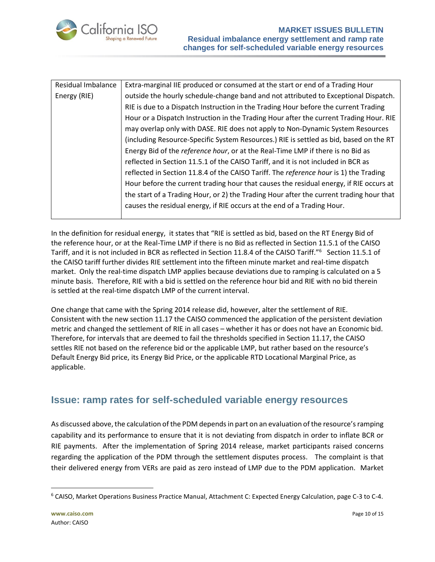

| Residual Imbalance | Extra-marginal IIE produced or consumed at the start or end of a Trading Hour           |  |  |
|--------------------|-----------------------------------------------------------------------------------------|--|--|
| Energy (RIE)       | outside the hourly schedule-change band and not attributed to Exceptional Dispatch.     |  |  |
|                    | RIE is due to a Dispatch Instruction in the Trading Hour before the current Trading     |  |  |
|                    | Hour or a Dispatch Instruction in the Trading Hour after the current Trading Hour. RIE  |  |  |
|                    | may overlap only with DASE. RIE does not apply to Non-Dynamic System Resources          |  |  |
|                    | (including Resource-Specific System Resources.) RIE is settled as bid, based on the RT  |  |  |
|                    | Energy Bid of the <i>reference hour</i> , or at the Real-Time LMP if there is no Bid as |  |  |
|                    | reflected in Section 11.5.1 of the CAISO Tariff, and it is not included in BCR as       |  |  |
|                    | reflected in Section 11.8.4 of the CAISO Tariff. The reference hour is 1) the Trading   |  |  |
|                    | Hour before the current trading hour that causes the residual energy, if RIE occurs at  |  |  |
|                    | the start of a Trading Hour, or 2) the Trading Hour after the current trading hour that |  |  |
|                    | causes the residual energy, if RIE occurs at the end of a Trading Hour.                 |  |  |
|                    |                                                                                         |  |  |

In the definition for residual energy, it states that "RIE is settled as bid, based on the RT Energy Bid of the reference hour, or at the Real-Time LMP if there is no Bid as reflected in Section 11.5.1 of the CAISO Tariff, and it is not included in BCR as reflected in Section 11.8.4 of the CAISO Tariff."<sup>6</sup> Section 11.5.1 of the CAISO tariff further divides RIE settlement into the fifteen minute market and real-time dispatch market. Only the real-time dispatch LMP applies because deviations due to ramping is calculated on a 5 minute basis. Therefore, RIE with a bid is settled on the reference hour bid and RIE with no bid therein is settled at the real-time dispatch LMP of the current interval.

One change that came with the Spring 2014 release did, however, alter the settlement of RIE. Consistent with the new section 11.17 the CAISO commenced the application of the persistent deviation metric and changed the settlement of RIE in all cases – whether it has or does not have an Economic bid. Therefore, for intervals that are deemed to fail the thresholds specified in Section 11.17, the CAISO settles RIE not based on the reference bid or the applicable LMP, but rather based on the resource's Default Energy Bid price, its Energy Bid Price, or the applicable RTD Locational Marginal Price, as applicable.

# <span id="page-9-0"></span>**Issue: ramp rates for self-scheduled variable energy resources**

As discussed above, the calculation of the PDM depends in part on an evaluation of the resource's ramping capability and its performance to ensure that it is not deviating from dispatch in order to inflate BCR or RIE payments. After the implementation of Spring 2014 release, market participants raised concerns regarding the application of the PDM through the settlement disputes process. The complaint is that their delivered energy from VERs are paid as zero instead of LMP due to the PDM application. Market

 $6$  CAISO, Market Operations Business Practice Manual, Attachment C: Expected Energy Calculation, page C-3 to C-4.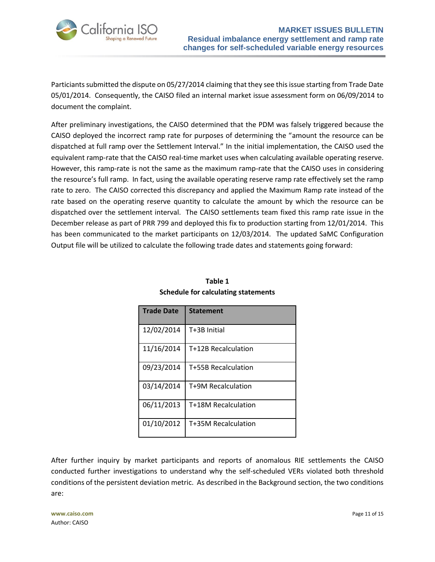

Particiants submitted the dispute on 05/27/2014 claiming that they see this issue starting from Trade Date 05/01/2014. Consequently, the CAISO filed an internal market issue assessment form on 06/09/2014 to document the complaint.

After preliminary investigations, the CAISO determined that the PDM was falsely triggered because the CAISO deployed the incorrect ramp rate for purposes of determining the "amount the resource can be dispatched at full ramp over the Settlement Interval." In the initial implementation, the CAISO used the equivalent ramp-rate that the CAISO real-time market uses when calculating available operating reserve. However, this ramp-rate is not the same as the maximum ramp-rate that the CAISO uses in considering the resource's full ramp. In fact, using the available operating reserve ramp rate effectively set the ramp rate to zero. The CAISO corrected this discrepancy and applied the Maximum Ramp rate instead of the rate based on the operating reserve quantity to calculate the amount by which the resource can be dispatched over the settlement interval. The CAISO settlements team fixed this ramp rate issue in the December release as part of PRR 799 and deployed this fix to production starting from 12/01/2014. This has been communicated to the market participants on 12/03/2014. The updated SaMC Configuration Output file will be utilized to calculate the following trade dates and statements going forward:

| <b>Trade Date</b> | <b>Statement</b>    |
|-------------------|---------------------|
| 12/02/2014        | T+3B Initial        |
| 11/16/2014        | T+12B Recalculation |
| 09/23/2014        | T+55B Recalculation |
| 03/14/2014        | T+9M Recalculation  |
| 06/11/2013        | T+18M Recalculation |
| 01/10/2012        | T+35M Recalculation |

## **Table 1 Schedule for calculating statements**

After further inquiry by market participants and reports of anomalous RIE settlements the CAISO conducted further investigations to understand why the self-scheduled VERs violated both threshold conditions of the persistent deviation metric. As described in the Background section, the two conditions are: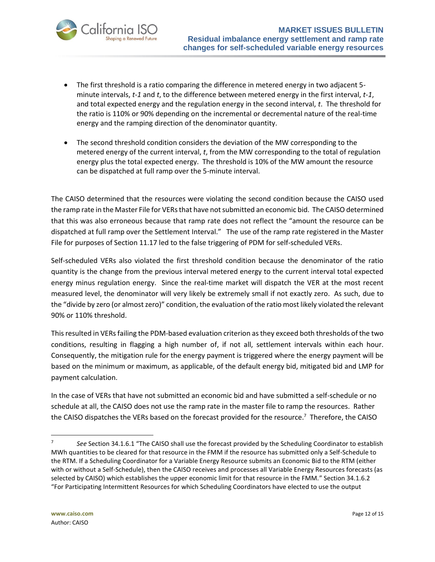

- The first threshold is a ratio comparing the difference in metered energy in two adjacent 5 minute intervals, *t-1* and *t*, to the difference between metered energy in the first interval, *t-1*, and total expected energy and the regulation energy in the second interval, *t*. The threshold for the ratio is 110% or 90% depending on the incremental or decremental nature of the real-time energy and the ramping direction of the denominator quantity.
- The second threshold condition considers the deviation of the MW corresponding to the metered energy of the current interval, *t*, from the MW corresponding to the total of regulation energy plus the total expected energy. The threshold is 10% of the MW amount the resource can be dispatched at full ramp over the 5-minute interval.

The CAISO determined that the resources were violating the second condition because the CAISO used the ramp rate in the Master File for VERs that have not submitted an economic bid. The CAISO determined that this was also erroneous because that ramp rate does not reflect the "amount the resource can be dispatched at full ramp over the Settlement Interval." The use of the ramp rate registered in the Master File for purposes of Section 11.17 led to the false triggering of PDM for self-scheduled VERs.

Self-scheduled VERs also violated the first threshold condition because the denominator of the ratio quantity is the change from the previous interval metered energy to the current interval total expected energy minus regulation energy. Since the real-time market will dispatch the VER at the most recent measured level, the denominator will very likely be extremely small if not exactly zero. As such, due to the "divide by zero (or almost zero)" condition, the evaluation of the ratio most likely violated the relevant 90% or 110% threshold.

This resulted in VERs failing the PDM-based evaluation criterion as they exceed both thresholds of the two conditions, resulting in flagging a high number of, if not all, settlement intervals within each hour. Consequently, the mitigation rule for the energy payment is triggered where the energy payment will be based on the minimum or maximum, as applicable, of the default energy bid, mitigated bid and LMP for payment calculation.

In the case of VERs that have not submitted an economic bid and have submitted a self-schedule or no schedule at all, the CAISO does not use the ramp rate in the master file to ramp the resources. Rather the CAISO dispatches the VERs based on the forecast provided for the resource.<sup>7</sup> Therefore, the CAISO

<sup>7</sup> *See* Section 34.1.6.1 "The CAISO shall use the forecast provided by the Scheduling Coordinator to establish MWh quantities to be cleared for that resource in the FMM if the resource has submitted only a Self-Schedule to the RTM. If a Scheduling Coordinator for a Variable Energy Resource submits an Economic Bid to the RTM (either with or without a Self-Schedule), then the CAISO receives and processes all Variable Energy Resources forecasts (as selected by CAISO) which establishes the upper economic limit for that resource in the FMM." Section 34.1.6.2 "For Participating Intermittent Resources for which Scheduling Coordinators have elected to use the output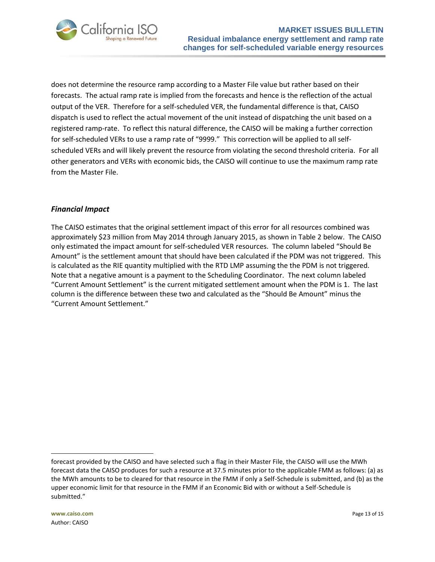

does not determine the resource ramp according to a Master File value but rather based on their forecasts. The actual ramp rate is implied from the forecasts and hence is the reflection of the actual output of the VER. Therefore for a self-scheduled VER, the fundamental difference is that, CAISO dispatch is used to reflect the actual movement of the unit instead of dispatching the unit based on a registered ramp-rate. To reflect this natural difference, the CAISO will be making a further correction for self-scheduled VERs to use a ramp rate of "9999." This correction will be applied to all selfscheduled VERs and will likely prevent the resource from violating the second threshold criteria. For all other generators and VERs with economic bids, the CAISO will continue to use the maximum ramp rate from the Master File.

## *Financial Impact*

The CAISO estimates that the original settlement impact of this error for all resources combined was approximately \$23 million from May 2014 through January 2015, as shown in Table 2 below. The CAISO only estimated the impact amount for self-scheduled VER resources. The column labeled "Should Be Amount" is the settlement amount that should have been calculated if the PDM was not triggered. This is calculated as the RIE quantity multiplied with the RTD LMP assuming the the PDM is not triggered. Note that a negative amount is a payment to the Scheduling Coordinator. The next column labeled "Current Amount Settlement" is the current mitigated settlement amount when the PDM is 1. The last column is the difference between these two and calculated as the "Should Be Amount" minus the "Current Amount Settlement."

forecast provided by the CAISO and have selected such a flag in their Master File, the CAISO will use the MWh forecast data the CAISO produces for such a resource at 37.5 minutes prior to the applicable FMM as follows: (a) as the MWh amounts to be to cleared for that resource in the FMM if only a Self-Schedule is submitted, and (b) as the upper economic limit for that resource in the FMM if an Economic Bid with or without a Self-Schedule is submitted."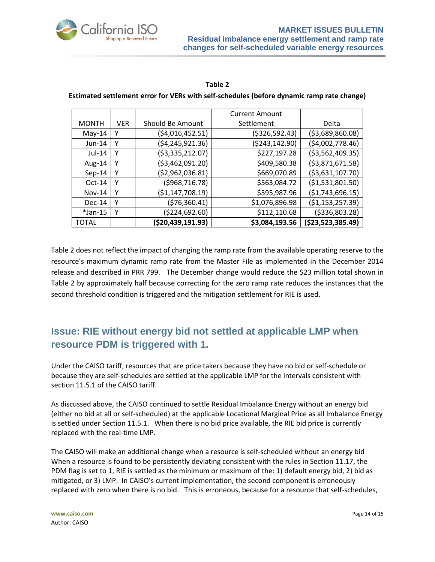

#### **Table 2**

## **Estimated settlement error for VERs with self-schedules (before dynamic ramp rate change)**

|              |            |                   | <b>Current Amount</b> |                    |
|--------------|------------|-------------------|-----------------------|--------------------|
| <b>MONTH</b> | <b>VER</b> | Should Be Amount  | Settlement            | Delta              |
| $May-14$     | Υ          | (\$4,016,452.51)  | (\$326,592.43)        | ( \$3,689,860.08)  |
| Jun-14       | Y          | (\$4,245,921.36)  | ( \$243, 142.90)      | (54,002,778.46)    |
| Jul-14       | Υ          | (\$3,335,212.07)  | \$227,197.28          | ( \$3,562,409.35)  |
| Aug-14       | Υ          | (\$3,462,091.20)  | \$409,580.38          | ( \$3,871,671.58)  |
| $Sep-14$     | γ          | (\$2,962,036.81)  | \$669,070.89          | ( \$3,631,107.70)  |
| $Oct-14$     | Υ          | ( \$968, 716.78)  | \$563,084.72          | ( \$1,531,801.50)  |
| $Nov-14$     | γ          | (\$1,147,708.19)  | \$595,987.96          | (51,743,696.15)    |
| $Dec-14$     | Υ          | (\$76,360.41)     | \$1,076,896.98        | ( \$1,153,257.39)  |
| $*$ Jan-15   | Y          | (\$224,692.60)    | \$112,110.68          | ( \$336, 803.28)   |
| TOTAL        |            | (\$20,439,191.93) | \$3,084,193.56        | ( \$23,523,385.49) |

Table 2 does not reflect the impact of changing the ramp rate from the available operating reserve to the resource's maximum dynamic ramp rate from the Master File as implemented in the December 2014 release and described in PRR 799. The December change would reduce the \$23 million total shown in Table 2 by approximately half because correcting for the zero ramp rate reduces the instances that the second threshold condition is triggered and the mitigation settlement for RIE is used.

# <span id="page-13-0"></span>**Issue: RIE without energy bid not settled at applicable LMP when resource PDM is triggered with 1.**

Under the CAISO tariff, resources that are price takers because they have no bid or self-schedule or because they are self-schedules are settled at the applicable LMP for the intervals consistent with section 11.5.1 of the CAISO tariff.

As discussed above, the CAISO continued to settle Residual Imbalance Energy without an energy bid (either no bid at all or self-scheduled) at the applicable Locational Marginal Price as all Imbalance Energy is settled under Section 11.5.1. When there is no bid price available, the RIE bid price is currently replaced with the real-time LMP.

The CAISO will make an additional change when a resource is self-scheduled without an energy bid When a resource is found to be persistently deviating consistent with the rules in Section 11.17, the PDM flag is set to 1, RIE is settled as the minimum or maximum of the: 1) default energy bid, 2) bid as mitigated, or 3) LMP. In CAISO's current implementation, the second component is erroneously replaced with zero when there is no bid. This is erroneous, because for a resource that self-schedules,